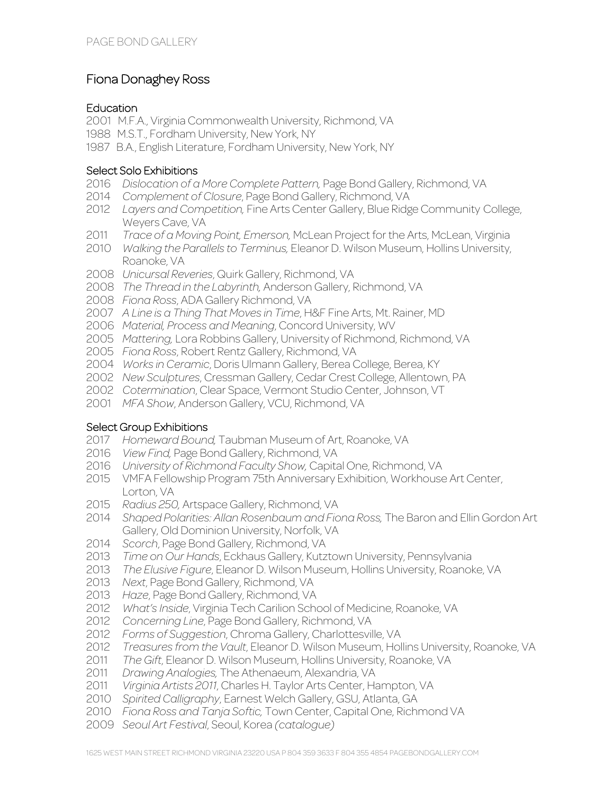# Fiona Donaghey Ross

### **Education**

2001 M.F.A., Virginia Commonwealth University, Richmond, VA

- 1988 M.S.T., Fordham University, New York, NY
- 1987 B.A., English Literature, Fordham University, New York, NY

### Select Solo Exhibitions

- *Dislocation of a More Complete Pattern,* Page Bond Gallery, Richmond, VA
- *Complement of Closure*, Page Bond Gallery, Richmond, VA
- *Layers and Competition,* Fine Arts Center Gallery, Blue Ridge Community College, Weyers Cave, VA
- *Trace of a Moving Point, Emerson,* McLean Project for the Arts, McLean, Virginia
- *Walking the Parallels to Terminus,* Eleanor D. Wilson Museum, Hollins University, Roanoke, VA
- *Unicursal Reveries*, Quirk Gallery, Richmond, VA
- *The Thread in the Labyrinth,* Anderson Gallery, Richmond, VA
- *Fiona Ross*, ADA Gallery Richmond, VA
- *A Line is a Thing That Moves in Time*, H&F Fine Arts, Mt. Rainer, MD
- *Material, Process and Meaning*, Concord University, WV
- *Mattering,* Lora Robbins Gallery, University of Richmond, Richmond, VA
- *Fiona Ross*, Robert Rentz Gallery, Richmond, VA
- *Works in Ceramic*, Doris Ulmann Gallery, Berea College, Berea, KY
- *New Sculptures*, Cressman Gallery, Cedar Crest College, Allentown, PA
- *Cotermination*, Clear Space, Vermont Studio Center, Johnson, VT
- *MFA Show*, Anderson Gallery, VCU, Richmond, VA

#### Select Group Exhibitions

- *Homeward Bound,* Taubman Museum of Art, Roanoke, VA
- *View Find,* Page Bond Gallery, Richmond, VA
- *University of Richmond Faculty Show,* Capital One, Richmond, VA
- VMFA Fellowship Program 75th Anniversary Exhibition, Workhouse Art Center, Lorton, VA
- *Radius 250,* Artspace Gallery, Richmond, VA
- *Shaped Polarities: Allan Rosenbaum and Fiona Ross,* The Baron and Ellin Gordon Art Gallery, Old Dominion University, Norfolk, VA
- *Scorch*, Page Bond Gallery, Richmond, VA
- *Time on Our Hands*, Eckhaus Gallery, Kutztown University, Pennsylvania
- *The Elusive Figure*, Eleanor D. Wilson Museum, Hollins University, Roanoke, VA
- *Next*, Page Bond Gallery, Richmond, VA
- *Haze*, Page Bond Gallery, Richmond, VA
- *What's Inside*, Virginia Tech Carilion School of Medicine, Roanoke, VA
- *Concerning Line*, Page Bond Gallery, Richmond, VA
- *Forms of Suggestion*, Chroma Gallery, Charlottesville, VA
- *Treasures from the Vault*, Eleanor D. Wilson Museum, Hollins University, Roanoke, VA
- *The Gift*, Eleanor D. Wilson Museum, Hollins University, Roanoke, VA
- *Drawing Analogies,* The Athenaeum, Alexandria, VA
- *Virginia Artists 2011*, Charles H. Taylor Arts Center, Hampton, VA
- *Spirited Calligraphy*, Earnest Welch Gallery, GSU, Atlanta, GA
- *Fiona Ross and Tanja Softic,* Town Center, Capital One, Richmond VA
- *Seoul Art Festival*, Seoul, Korea *(catalogue)*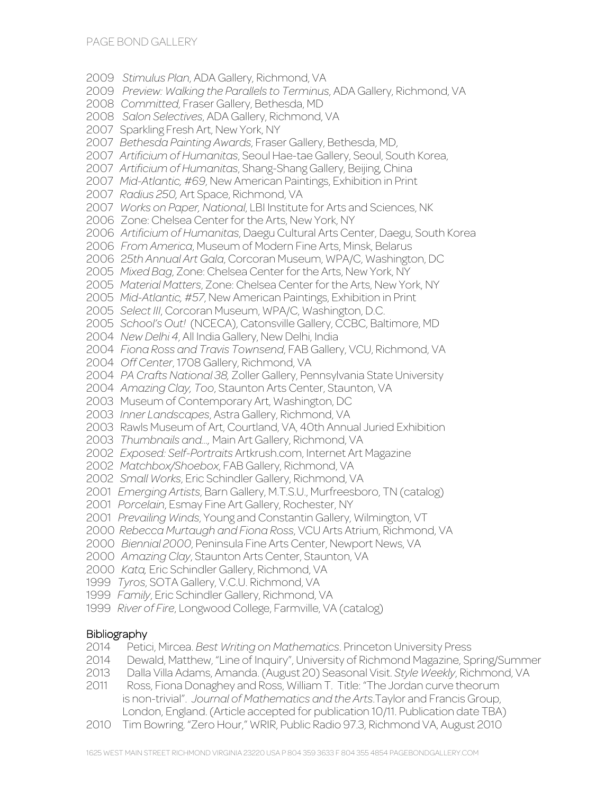*Stimulus Plan*, ADA Gallery, Richmond, VA *Preview: Walking the Parallels to Terminus*, ADA Gallery, Richmond, VA *Committed*, Fraser Gallery, Bethesda, MD *Salon Selectives*, ADA Gallery, Richmond, VA 2007 Sparkling Fresh Art, New York, NY *Bethesda Painting Awards*, Fraser Gallery, Bethesda, MD, *Artificium of Humanitas*, Seoul Hae-tae Gallery, Seoul, South Korea, *Artificium of Humanitas*, Shang-Shang Gallery, Beijing, China *Mid-Atlantic, #69*, New American Paintings, Exhibition in Print *Radius 250,* Art Space, Richmond, VA *Works on Paper, National*, LBI Institute for Arts and Sciences, NK 2006 Zone: Chelsea Center for the Arts, New York, NY *Artificium of Humanitas*, Daegu Cultural Arts Center, Daegu, South Korea *From America*, Museum of Modern Fine Arts, Minsk, Belarus 2006 2*5th Annual Art Gala*, Corcoran Museum, WPA/C, Washington, DC *Mixed Bag*, Zone: Chelsea Center for the Arts, New York, NY *Material Matters*, Zone: Chelsea Center for the Arts, New York, NY *Mid-Atlantic, #57*, New American Paintings, Exhibition in Print *Select III*, Corcoran Museum, WPA/C, Washington, D.C. *School's Out!* (NCECA), Catonsville Gallery, CCBC, Baltimore, MD *New Delhi 4*, All India Gallery, New Delhi, India *Fiona Ross and Travis Townsend*, FAB Gallery, VCU, Richmond, VA *Off Center*, 1708 Gallery, Richmond, VA *PA Crafts National 38,* Zoller Gallery, Pennsylvania State University *Amazing Clay, Too*, Staunton Arts Center, Staunton, VA 2003 Museum of Contemporary Art, Washington, DC *Inner Landscapes*, Astra Gallery, Richmond, VA 2003 Rawls Museum of Art, Courtland, VA, 40th Annual Juried Exhibition *Thumbnails and…,* Main Art Gallery, Richmond, VA *Exposed: Self-Portraits* Artkrush.com, Internet Art Magazine *Matchbox/Shoebox*, FAB Gallery, Richmond, VA *Small Works*, Eric Schindler Gallery, Richmond, VA *Emerging Artists*, Barn Gallery, M.T.S.U., Murfreesboro, TN (catalog) *Porcelain*, Esmay Fine Art Gallery, Rochester, NY *Prevailing Winds*, Young and Constantin Gallery, Wilmington, VT *Rebecca Murtaugh and Fiona Ross*, VCU Arts Atrium, Richmond, VA *Biennial 2000*, Peninsula Fine Arts Center, Newport News, VA *Amazing Clay*, Staunton Arts Center, Staunton, VA *Kata,* Eric Schindler Gallery, Richmond, VA *Tyros*, SOTA Gallery, V.C.U. Richmond, VA *Family*, Eric Schindler Gallery, Richmond, VA

*River of Fire*, Longwood College, Farmville, VA (catalog)

#### **Bibliography**

- Petici, Mircea. *Best Writing on Mathematics*. Princeton University Press
- Dewald, Matthew, "Line of Inquiry", University of Richmond Magazine, Spring/Summer
- Dalla Villa Adams, Amanda. (August 20) Seasonal Visit. *Style Weekly*, Richmond, VA
- Ross, Fiona Donaghey and Ross, William T. Title: "The Jordan curve theorum is non-trivial". *Journal of Mathematics and the Arts*.Taylor and Francis Group, London, England. (Article accepted for publication 10/11. Publication date TBA)
- Tim Bowring. "Zero Hour," WRIR, Public Radio 97.3, Richmond VA, August 2010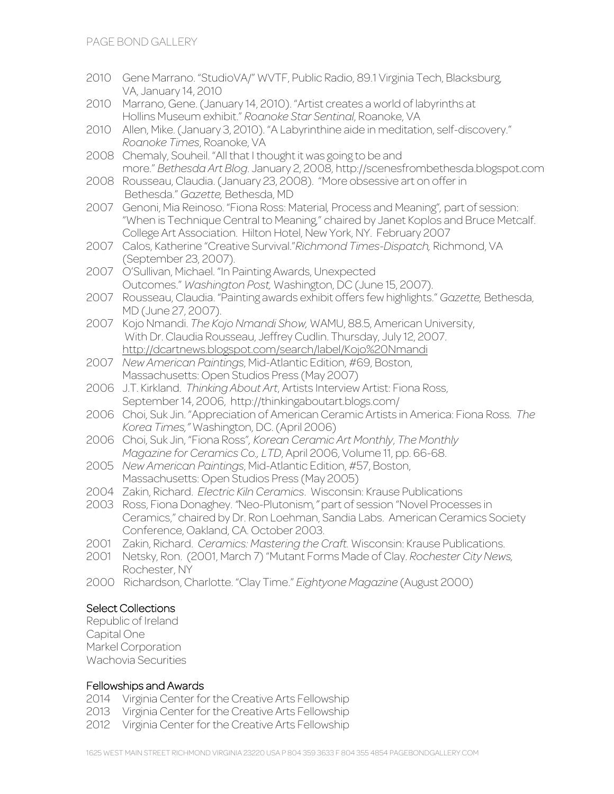- 2010 Gene Marrano. "StudioVA/" WVTF, Public Radio, 89.1 Virginia Tech, Blacksburg, VA, January 14, 2010
- 2010 Marrano, Gene. (January 14, 2010). "Artist creates a world of labyrinths at Hollins Museum exhibit." *Roanoke Star Sentinal*, Roanoke, VA
- 2010 Allen, Mike. (January 3, 2010). "A Labyrinthine aide in meditation, self-discovery." *Roanoke Times*, Roanoke, VA
- 2008 Chemaly, Souheil. "All that I thought it was going to be and more." *Bethesda Art Blog*. January 2, 2008, http://scenesfrombethesda.blogspot.com
- 2008 Rousseau, Claudia. (January 23, 2008). "More obsessive art on offer in Bethesda." *Gazette,* Bethesda, MD
- 2007 Genoni, Mia Reinoso. "Fiona Ross: Material*,* Process and Meaning"*,* part of session: "When is Technique Central to Meaning," chaired by Janet Koplos and Bruce Metcalf. College Art Association. Hilton Hotel, New York, NY. February 2007
- 2007 Calos, Katherine "Creative Survival."*Richmond Times-Dispatch,* Richmond, VA (September 23, 2007).
- 2007 O'Sullivan, Michael. "In Painting Awards, Unexpected Outcomes." *Washington Post,* Washington, DC (June 15, 2007).
- 2007 Rousseau, Claudia. "Painting awards exhibit offers few highlights." *Gazette,* Bethesda, MD (June 27, 2007).
- 2007 Kojo Nmandi. *The Kojo Nmandi Show,* WAMU, 88.5, American University, With Dr. Claudia Rousseau, Jeffrey Cudlin. Thursday, July 12, 2007. http://dcartnews.blogspot.com/search/label/Kojo%20Nmandi
- 2007 *New American Paintings*, Mid-Atlantic Edition, #69, Boston, Massachusetts: Open Studios Press (May 2007)
- 2006 J.T. Kirkland. *Thinking About Art*, Artists Interview Artist: Fiona Ross, September 14, 2006, http://thinkingaboutart.blogs.com/
- 2006 Choi, Suk Jin. "Appreciation of American Ceramic Artists in America: Fiona Ross. *The Korea Times,"* Washington, DC. (April 2006)
- 2006 Choi, Suk Jin, "Fiona Ross"*, Korean Ceramic Art Monthly*, *The Monthly Magazine for Ceramics Co., LTD*, April 2006, Volume 11, pp. 66-68.
- 2005 *New American Paintings*, Mid-Atlantic Edition, #57, Boston, Massachusetts: Open Studios Press (May 2005)
- 2004 Zakin, Richard. *Electric Kiln Ceramics*. Wisconsin: Krause Publications
- 2003 Ross, Fiona Donaghey. *"*Neo-Plutonism*,"* part of session "Novel Processes in Ceramics," chaired by Dr. Ron Loehman, Sandia Labs. American Ceramics Society Conference, Oakland, CA. October 2003.
- 2001 Zakin, Richard. *Ceramics: Mastering the Craft.* Wisconsin: Krause Publications.
- 2001 Netsky, Ron. (2001, March 7) "Mutant Forms Made of Clay. *Rochester City News,* Rochester, NY
- 2000 Richardson, Charlotte. "Clay Time." *Eightyone Magazine* (August 2000)

## Select Collections

Republic of Ireland Capital One Markel Corporation Wachovia Securities

#### Fellowships and Awards

- 2014 Virginia Center for the Creative Arts Fellowship
- 2013 Virginia Center for the Creative Arts Fellowship
- 2012 Virginia Center for the Creative Arts Fellowship